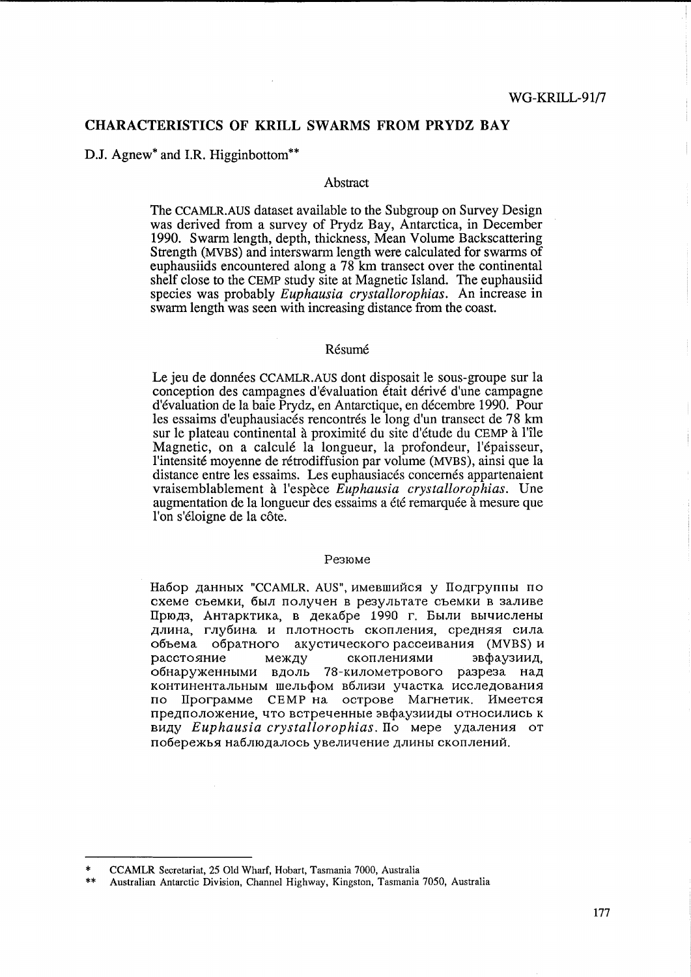# CHARACTERISTICS OF KRILL SWARMS FROM PRYDZ BAY

D.J. Agnew<sup>\*</sup> and I.R. Higginbottom<sup>\*\*</sup>

#### Abstract

The CCAMLR.AUS dataset available to the Subgroup on Survey Design was derived from a survey of Prydz Bay, Antarctica, in December 1990. Swarm length, depth, thickness, Mean Volume Backscattering Strength (MVBS) and inters warm length were calculated for swarms of euphausiids encountered along a 78 km transect over the continental shelf close to the CEMP study site at Magnetic Island. The euphausiid species was probably *Euphausia crystallorophias.* An increase in swarm length was seen with increasing distance from the coast.

### **Résumé**

Le jeu de données CCAMLR.AUS dont disposait le sous-groupe sur la conception des campagnes d'evaluation etait derive d'une campagne d'evaluation de la baie Prydz, en Antarctique, en decembre 1990. Pour les essaims d'euphausiacés rencontrés le long d'un transect de 78 km sur le plateau continental a proximite du site d'etude du CEMP a l'1le Magnetic, on a calculé la longueur, la profondeur, l'épaisseur, l'intensite moyenne de retrodiffusion par volume (MVBS), ainsi que la distance entre les essaims. Les euphausiacés concernés appartenaient vraisemblablement a l'espece *Euphausia crystallorophias.* Une augmentation de la longueur des essaims a été remarquée à mesure que l'on s'éloigne de la côte.

#### Pe3IOMe

Набор данных "CCAMLR. AUS", имевшийся у Подгруппы по cxeMe CbeMKH, 6bIJI nOJIY4eH B pe3YJIbTaTe CbeMKH B 3aJIHBe Прюдз, Антарктика, в декабре 1990 г. Были вычислены длина, глубина и плотность скопления, средняя сила объема обратного акустического рассеивания (MVBS) и расстояние между скоплениями эвфаузиид, обнаруженными вдоль 78-километрового разреза над континентальным шельфом вблизи участка исследования по Программе СЕМР на острове Магнетик. Имеется предположение, что встреченные эвфаузииды относились к виду *Euphausia crystallorophias*. По мере удаления от побережья наблюдалось увеличение длины скоплений.

<sup>\*</sup> CCAMLR Secretariat, 25 Old Wharf, Hobart, Tasmania 7000, Australia

<sup>\*\*</sup> Australian Antarctic Division, Channel Highway, Kingston, Tasmania 7050, Australia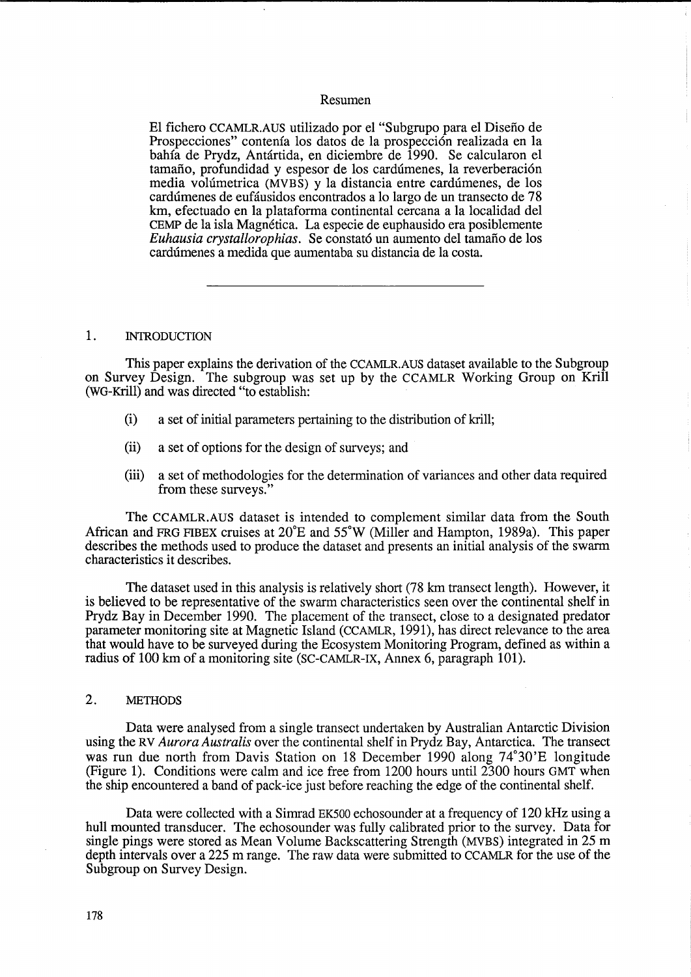# Resumen

El fichero CCAMLR.AUS utilizado por el "Subgrupo para el Disefio de Prospecciones" contenía los datos de la prospección realizada en la bahfa de Prydz, Antartida, en diciembre de 1990. Se calcularon el tamaño, profundidad y espesor de los cardúmenes, la reverberación media volúmetrica (MVBS) y la distancia entre cardúmenes, de los cardumenes de eufausidos encontrados a 10 largo de un transecto de 78 km, efectuado en la plataforma continental cercana a la localidad del CEMP de la isla Magnetica. La especie de euphausido era posiblemente *Euhausia crystallorophias.* Se constató un aumento del tamaño de los cardumenes a medida que aumentaba su distancia de la costa.

#### 1. INTRODUCTION

This paper explains the derivation of the CCAMLR.AUS dataset available to the Subgroup on Survey Design. The subgroup was set up by the CCAMLR Working Group on Krill (WG-Krill) and was directed "to establish:

- (i) a set of initial parameters pertaining to the distribution of krill;
- (ii) a set of options for the design of surveys; and
- (iii) a set of methodologies for the determination of variances and other data required from these surveys."

The CCAMLR.AUS dataset is intended to complement similar data from the South African and FRG FIBEX cruises at  $20^{\circ}E$  and  $55^{\circ}W$  (Miller and Hampton, 1989a). This paper describes the methods used to produce the dataset and presents an initial analysis of the swarm characteristics it describes.

The dataset used in this analysis is relatively short (78 km transect length). However, it is believed to be representative of the swarm characteristics seen over the continental shelf in Prydz Bay in December 1990. The placement of the transect, close to a designated predator parameter monitoring site at Magnetic Island (CCAMLR, 1991), has direct relevance to the area that would have to be surveyed during the Ecosystem Monitoring Program, defined as within a radius of 100 km of a monitoring site (SC-CAMLR-IX, Annex 6, paragraph 101).

## 2. METHODS

Data were analysed from a single transect undertaken by Australian Antarctic Division using the RV *Aurora Australis* over the continental shelf in Prydz Bay, Antarctica. The transect was run due north from Davis Station on 18 December 1990 along 74°30'E longitude (Figure 1). Conditions were calm and ice free from 1200 hours until 2300 hours GMT when the ship encountered a band of pack-ice just before reaching the edge of the continental shelf.

Data were collected with a Simrad EK500 echosounder at a frequency of 120 kHz using a hull mounted transducer. The echosounder was fully calibrated prior to the survey. Data for single pings were stored as Mean Volume Backscattering Strength (MVBS) integrated in 25 m depth intervals over a 225 m range. The raw data were submitted to CCAMLR for the use of the Subgroup on Survey Design.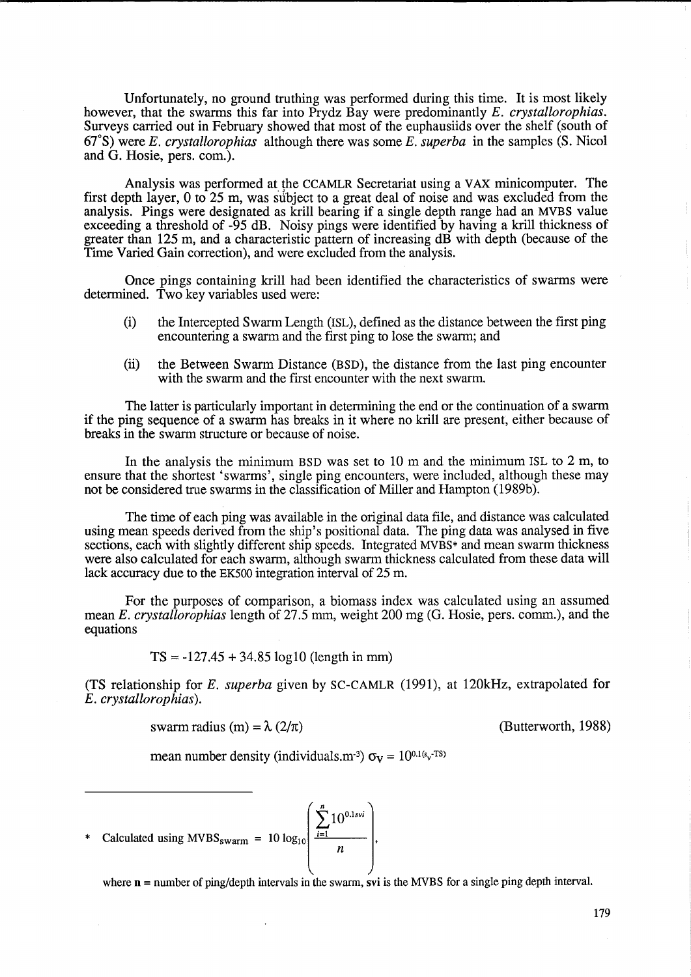Unfortunately, no ground truthing was performed during this time. It is most likely however, that the swarms this far into Prydz Bay were predominantly *E. crystallorophias.*  Surveys carried out in February showed that most of the euphausiids over the shelf (south of *67°S)* were *E. crystallorophias* although there was some *E. superba* in the samples *(S.* Nicol and G. Hosie, pers. com.).

Analysis was performed at the CCAMLR Secretariat using a VAX minicomputer. The first depth layer,  $0 \text{ to } 25 \text{ m}$ , was subject to a great deal of noise and was excluded from the analysis. Pings were designated as krill bearing if a single depth range had an MVBS value exceeding a threshold of -95 dB. Noisy pings were identified by having a krill thickness of greater than 125 m, and a characteristic pattern of increasing dB with depth (because of the Time Varied Gain correction), and were excluded from the analysis.

Once pings containing krill had been identified the characteristics of swarms were determined. Two key variables used were:

- (i) the Intercepted Swarm Length (ISL), defined as the distance between the first ping encountering a swarm and the first ping to lose the swarm; and
- (ii) the Between Swarm Distance (BSD), the distance from the last ping encounter with the swarm and the first encounter with the next swarm.

The latter is particularly important in determining the end or the continuation of a swarm if the ping sequence of a swarm has breaks in it where no krill are present, either because of breaks in the swarm structure or because of noise.

In the analysis the minimum BSD was set to 10 m and the minimum ISL to 2 m, to ensure that the shortest 'swarms', single ping encounters, were included, although these may not be considered true swarms in the classification of Miller and Hampton (1989b).

The time of each ping was available in the original data file, and distance was calculated using mean speeds derived from the ship's positional data. The ping data was analysed in five sections, each with slightly different ship speeds. Integrated MVBS\* and mean swarm thickness were also calculated for each swarm, although swarm thickness calculated from these data will lack accuracy due to the EK500 integration interval of 25 m.

For the purposes of comparison, a biomass index was calculated using an assumed mean *E. crystallorophias* length of 27.5 mm, weight 200 mg (G. Hosie, pers. comm.), and the equations

 $TS = -127.45 + 34.85 \log 10$  (length in mm)

(TS relationship for *E. superba* given by SC-CAMLR (1991), at 120kHz, extrapolated for *E. crystallorophias).* 

swarm radius (m) =  $\lambda$  (2/ $\pi$ ) (Butterworth, 1988)

mean number density (individuals.m<sup>-3</sup>)  $\sigma_V = 10^{0.1(s_v \cdot TS)}$ 

\* Calculated using MVBS<sub>swarm</sub> = 10  $\log_{10}$   $\left( \frac{\sum_{i=1}^{n} 10^{0.1svi}}{n} \right)$ 

where  $n =$  number of ping/depth intervals in the swarm, svi is the MVBS for a single ping depth interval.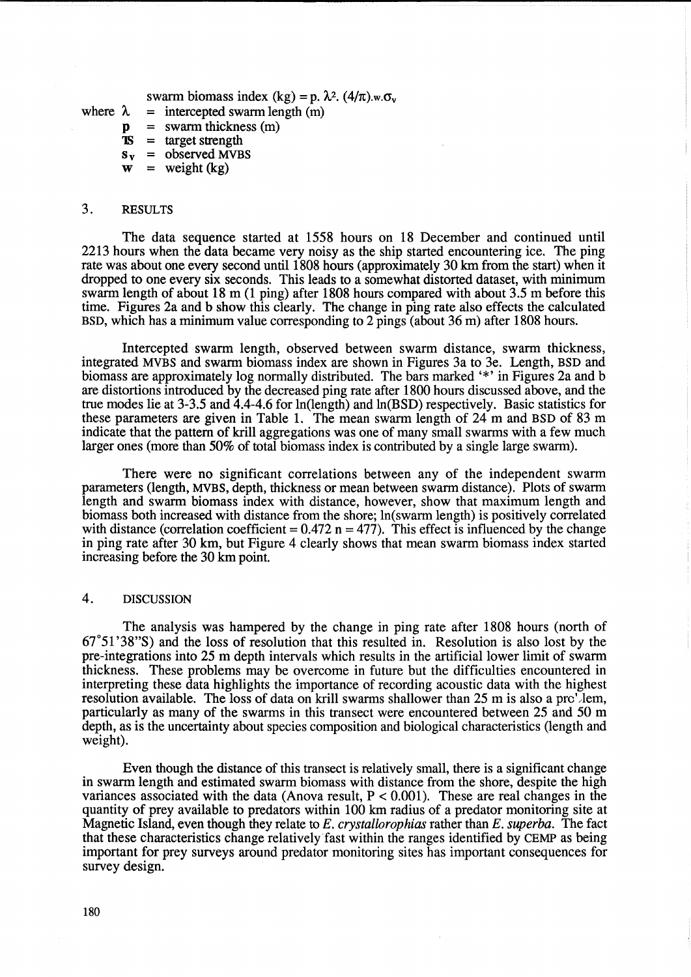swarm biomass index (kg) = p.  $\lambda^2$ . (4/ $\pi$ ).w. $\sigma_v$ 

- where  $\lambda$  $=$  intercepted swarm length  $(m)$ 
	- $\mathbf{p}$ = swarm thickness (m)
	- 'IS = target strength
	- $s_v$  = observed MVBS
	- $w = weight (kg)$

#### 3. RESULTS

The data sequence started at 1558 hours on 18 December and continued until 2213 hours when the data became very noisy as the ship started encountering ice. The ping rate was about one every second until 1808 hours (approximately 30 km from the start) when it dropped to one every six seconds. This leads to a somewhat distorted dataset, with minimum swarm length of about 18 m (1 ping) after 1808 hours compared with about 3.5 m before this time. Figures 2a and b show this clearly. The change in ping rate also effects the calculated BSD, which has a minimum value corresponding to 2 pings (about 36 m) after 1808 hours.

Intercepted swarm length, observed between swarm distance, swarm thickness, integrated MVBS and swarm biomass index are shown in Figures 3a to 3e. Length, BSD and biomass are approximately log normally distributed. The bars marked '\*' in Figures 2a and b are distortions introduced by the decreased ping rate after 1800 hours discussed above, and the true modes lie at 3-3.5 and 4.4-4.6 for In(length) and In(BSD) respectively. Basic statistics for these parameters are given in Table 1. The mean swarm length of 24 m and BSD of 83 m indicate that the pattern of krill aggregations was one of many small swarms with a few much larger ones (more than 50% of total biomass index is contributed by a single large swarm).

There were no significant correlations between any of the independent swarm parameters (length, MVBS, depth, thickness or mean between swarm distance). Plots of swarm length and swarm biomass index with distance, however, show that maximum length and biomass both increased with distance from the shore; In(swarm length) is positively correlated with distance (correlation coefficient =  $0.472$  n = 477). This effect is influenced by the change in ping rate after 30 km, but Figure 4 clearly shows that mean swarm biomass index started increasing before the 30 km point.

## 4. DISCUSSION

The analysis was hampered by the change in ping rate after 1808 hours (north of 67°51 '38"S) and the loss of resolution that this resulted in. Resolution is also lost by the pre-integrations into 25 m depth intervals which results in the artificial lower limit of swarm thickness. These problems may be overcome in future but the difficulties encountered in interpreting these data highlights the importance of recording acoustic data with the highest resolution available. The loss of data on krill swarms shallower than 25 m is also a prc'Jem, particularly as many of the swarms in this transect were encountered between 25 and 50 m depth, as is the uncertainty about species composition and biological characteristics (length and weight).

Even though the distance of this transect is relatively small, there is a significant change in swarm length and estimated swarm biomass with distance from the shore, despite the high variances associated with the data (Anova result,  $P < 0.001$ ). These are real changes in the quantity of prey available to predators within 100 km radius of a predator monitoring site at Magnetic Island, even though they relate to *E. crystallorophias* rather than E. *superba.* The fact that these characteristics change relatively fast within the ranges identified by CEMP as being important for prey surveys around predator monitoring sites has important consequences for survey design.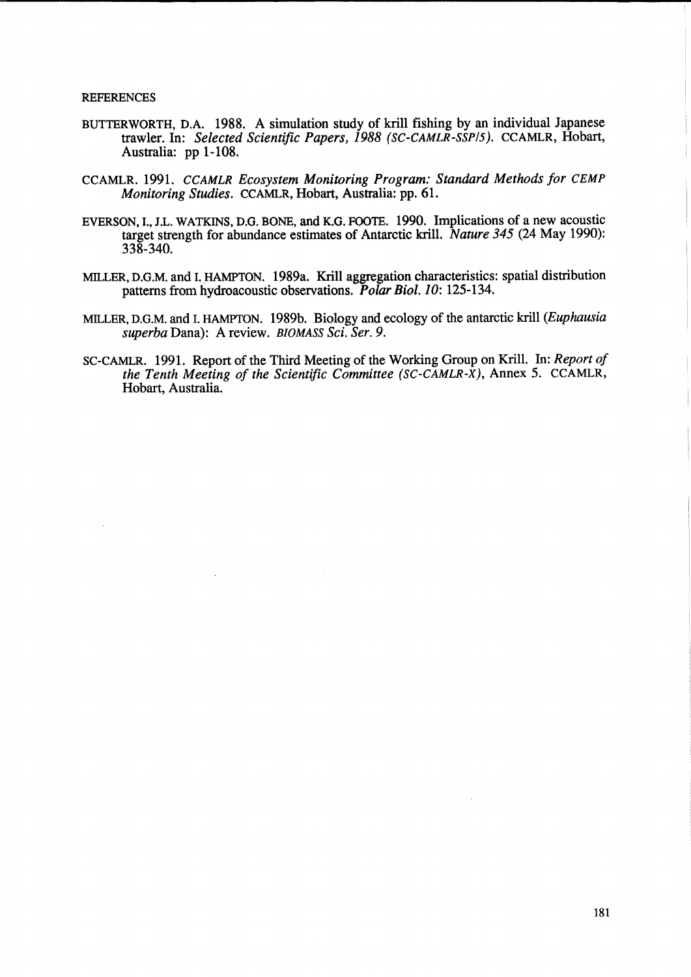#### REFERENCES

- BUTTERWORTH, D.A. 1988. A simulation study of kriU fishing by an individual Japanese trawler. In: *Selected Scientific Papers,* 1988 *(SC-CAMLR-SSP!5).* CCAMLR, Hobart, Australia: pp 1-108.
- CCAMLR. 1991. *CCAMLR Ecosystem Monitoring Program: Standard Methods for CEMP Monitoring Studies.* CCAMLR, Hobart, Australia: pp. 61.
- EVERSON, 1., J.L. WATKINS, D.G. BONE, and K.G. FOOTE. 1990. Implications of a new acoustic target strength for abundance estimates of Antarctic kriU. *Nature* 345 (24 May 1990): 338-340.
- MILLER, D.G.M. and 1. HAMPTON. 1989a. KriU aggregation characteristics: spatial distribution patterns from hydroacoustic observations. Polar Biol. 10: 125-134.
- MILLER, D.G.M. and 1. HAMPTON. 1989b. Biology and ecology of the antarctic krill *(Euphausia superba* Dana): A review. *BIOMASS Sci. Ser. 9.*
- SC-CAMLR. 1991. Report of the Third Meeting of the Working Group on Krill. In: *Report of the Tenth Meeting of the Scientific Committee (SC-CAMLR-X),* Annex 5. CCAMLR, Hobart, Australia.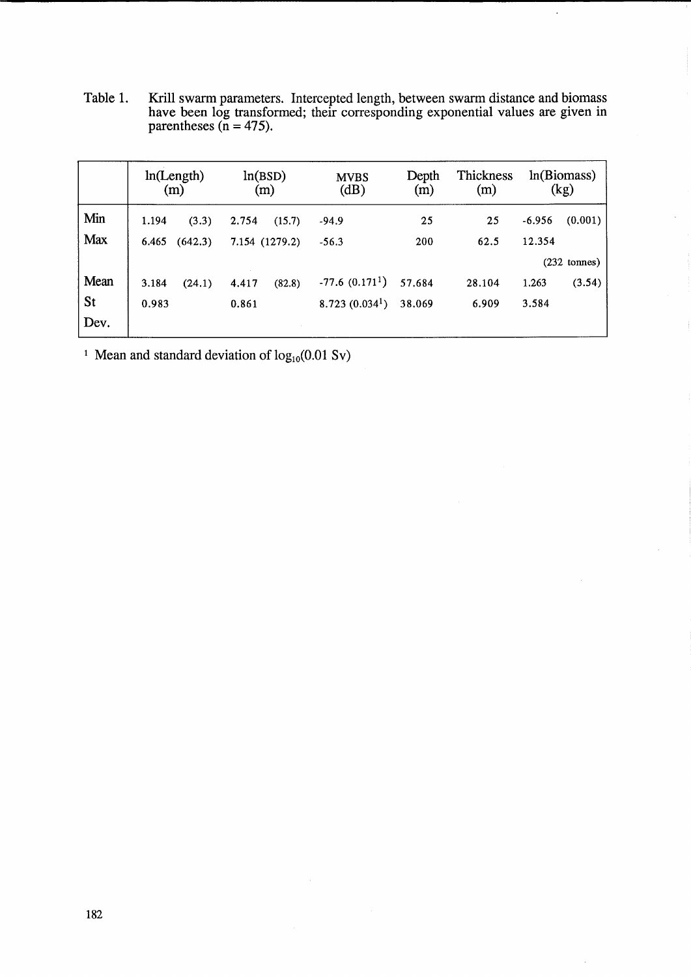Table 1. Krill swarm parameters. Intercepted length, between swarm distance and biomass have been log transformed; their corresponding exponential values are given in parentheses  $(n = 475)$ .

|            | ln(Length)<br>(m) |         | ln(BSD)<br>(m) |        | <b>MVBS</b><br>(dB)        | Depth<br>(m)      | Thickness<br>(m) | ln(Biomass)<br>(kg) |         |
|------------|-------------------|---------|----------------|--------|----------------------------|-------------------|------------------|---------------------|---------|
| Min        | 1.194             | (3.3)   | 2.754          | (15.7) | $-94.9$                    | 25                | 25               | $-6.956$            | (0.001) |
| <b>Max</b> | 6.465             | (642.3) | 7.154 (1279.2) |        | $-56.3$                    | 200               | 62.5             | 12.354              |         |
|            |                   |         |                |        |                            | $(232 \t{tomes})$ |                  |                     |         |
| Mean       | 3.184             | (24.1)  | 4.417          | (82.8) | $-77.6(0.171)$             | 57.684            | 28.104           | 1.263               | (3.54)  |
| St         | 0.983             |         | 0.861          |        | 8.723(0.034 <sup>1</sup> ) | 38.069            | 6.909            | 3.584               |         |
| Dev.       |                   |         |                |        |                            |                   |                  |                     |         |

<sup>1</sup> Mean and standard deviation of  $log_{10}(0.01 \text{ Sv})$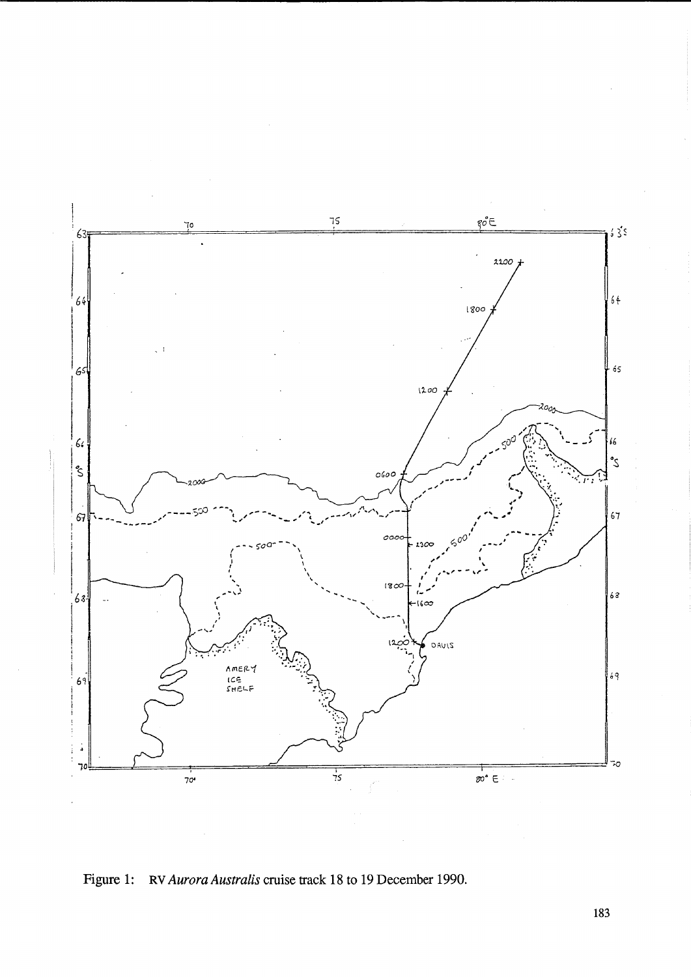

Figure 1: RV Aurora Australis cruise track 18 to 19 December 1990.

183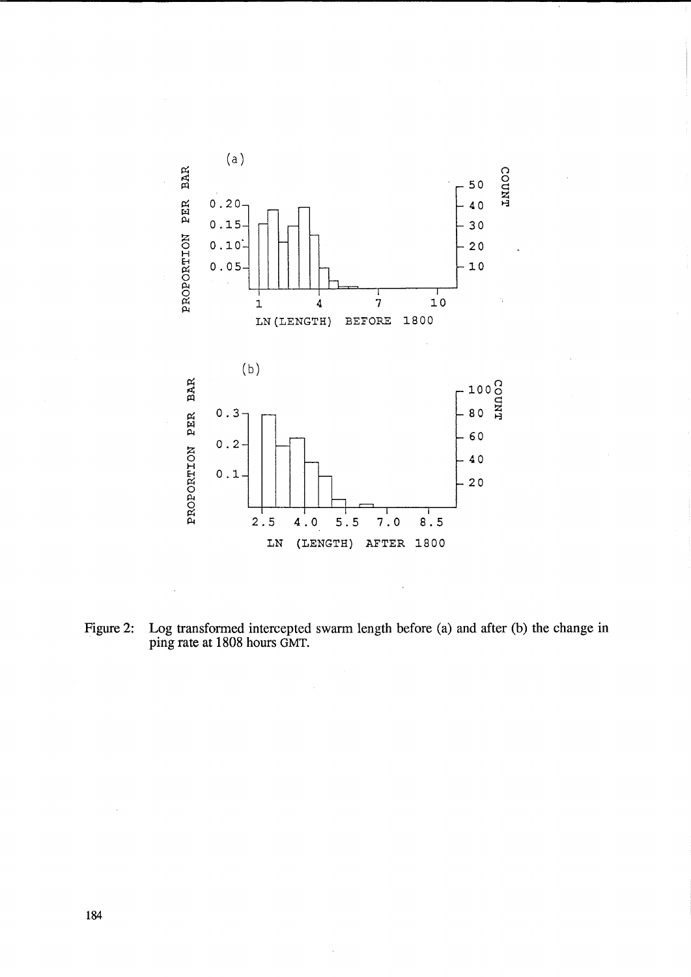

Figure 2: Log transformed intercepted swarm length before (a) and after (b) the change in ping rate at 1808 hours GMT.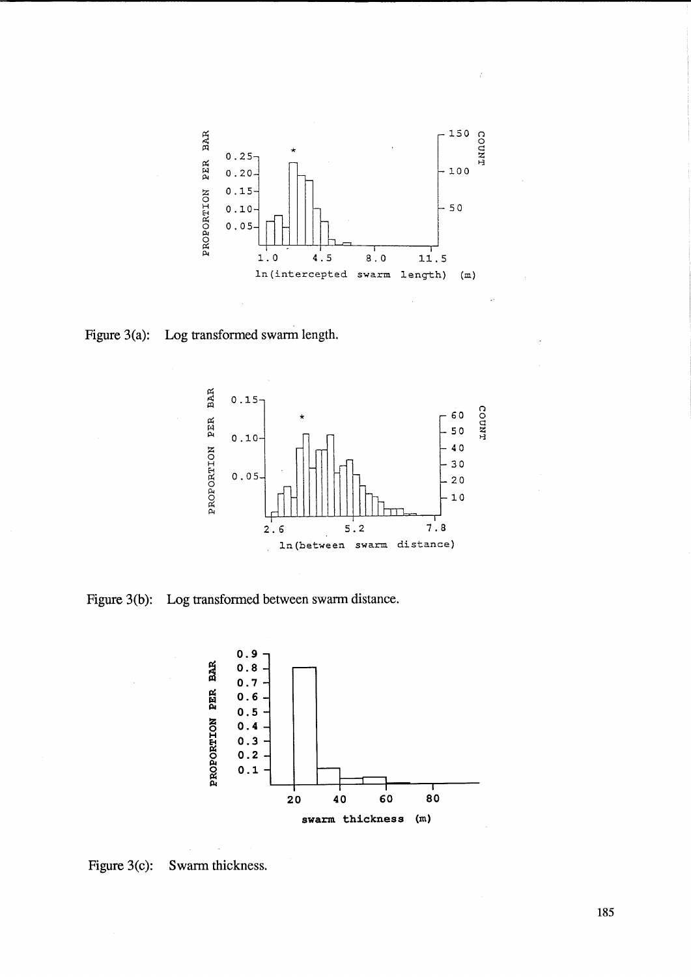

**Figure 3(a): Log transformed swarm length.** 



**Figure 3(b): Log transformed between swarm distance.** 



**Figure 3(c): Swarm thickness.** 

**185**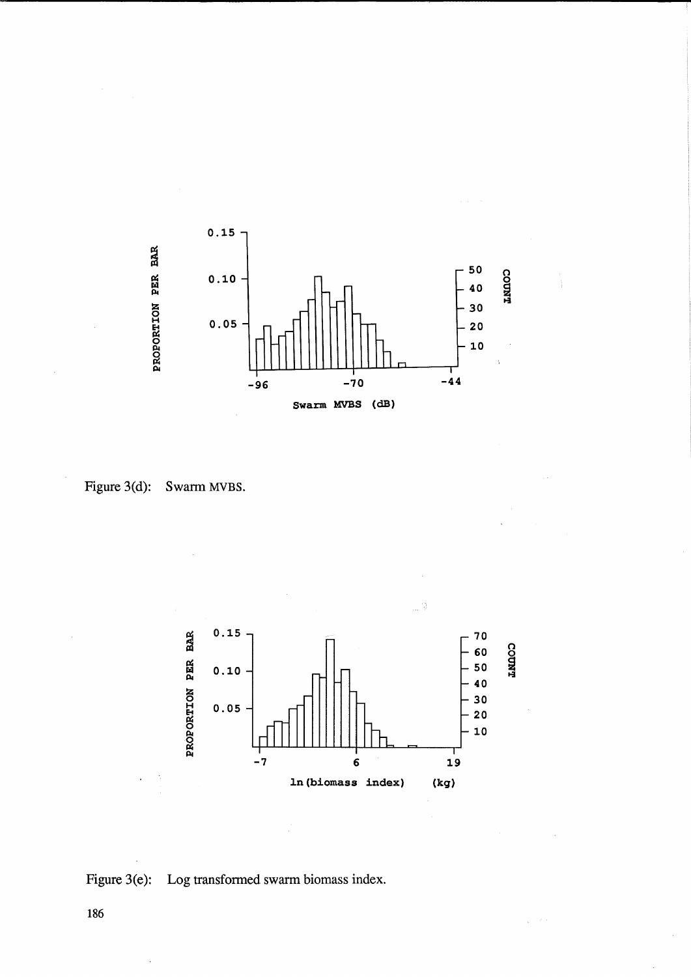![](_page_9_Figure_0.jpeg)

![](_page_9_Figure_1.jpeg)

![](_page_9_Figure_2.jpeg)

![](_page_9_Figure_3.jpeg)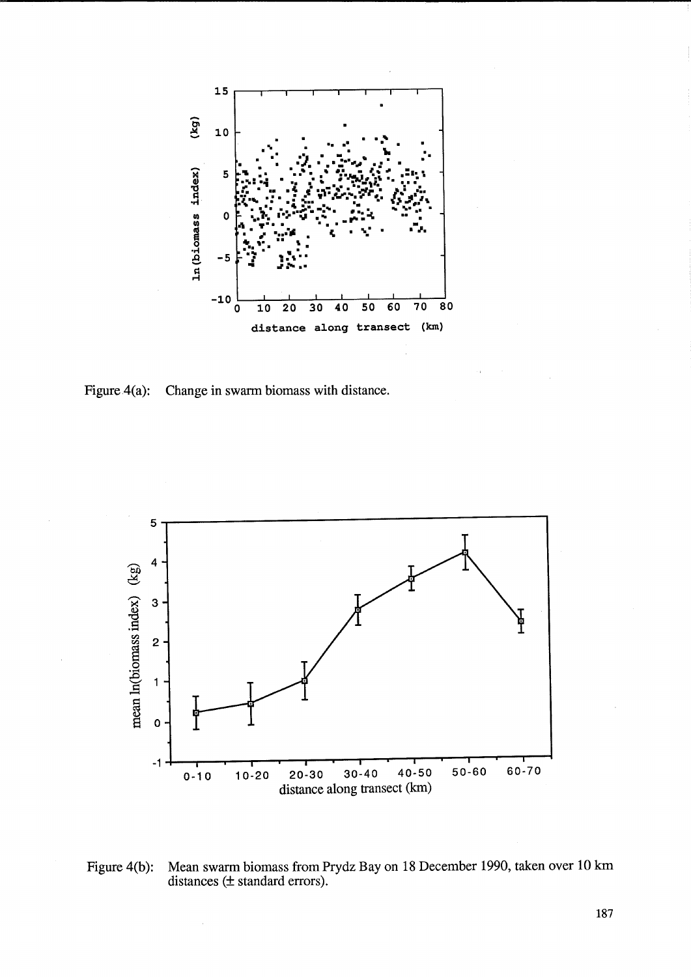![](_page_10_Figure_0.jpeg)

Figure  $4(a)$ : Change in swarm biomass with distance.

![](_page_10_Figure_2.jpeg)

Mean swarm biomass from Prydz Bay on 18 December 1990, taken over 10 km distances (± standard errors). Figure  $4(b)$ :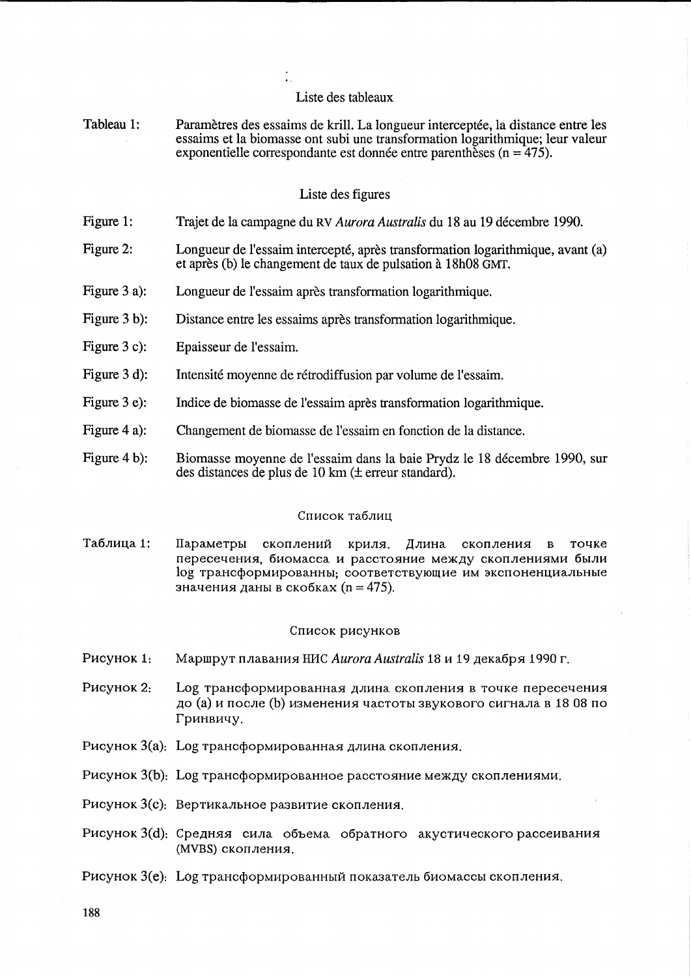### Liste des tableaux

Tableau 1: Paramètres des essaims de krill. La longueur interceptée, la distance entre les essaims et la biomasse ont subi une transformation logarithmique; leur valeur exponentielle correspondante est donnée entre parenthèses ( $n = 475$ ).

## Liste des figures

- Figure 1: Trajet de la campagne du RV *Aurora Australis* du 18 au 19 decembre 1990.
- Figure 2: Longueur de l'essaim intercepté, après transformation logarithmique, avant (a) et apres (b) le changement de taux de pulsation a 18h08 GMT.
- Figure 3 a): Longueur de l'essaim après transformation logarithmique.
- Figure 3 b): Distance entre les essaims apres transformation logarithmique.
- Figure 3 c): Epaisseur de l'essaim.
- Figure 3 d): Intensite moyenne de retrodiffusion par volume de l'essaim.
- Figure 3 e): Indice de biomasse de l'essaim apres transformation logarithmique.
- Figure 4 a): Changement de biornasse de l'essaim en fonction de la distance.
- Figure 4 b): Biomasse moyenne de l'essaim dans la baie Prydz le 18 decembre 1990, sur des distances de plus de 10 km (± erreur standard).

### Список таблиц

Таблица 1: Параметры скоплений криля. Длина скопления в точке пересечения, биомасса и расстояние между скоплениями были log трансформированны; соответствующие им экспоненциальные значения даны в скобках (n = 475).

### Список рисунков

- P<sub>HC</sub>y<sub>HOK</sub> 1: Маршрут плавания НИС *Aurora Australis* 18 и 19 декабря 1990 г.
- P<sub>HCVHOK</sub> 2: Log трансформированная длина скопления в точке пересечения до (а) и после (b) изменения частоты звукового сигнала в 18 08 по Гринвичу.
- Рисунок  $3(a)$ : Log трансформированная длина скопления.
- Рисунок  $3(b)$ : Log трансформированное расстояние между скоплениями.
- Рисунок  $3(c)$ : Вертикальное развитие скопления.
- Рисунок 3(d): Средняя сила объема обратного акустического рассеивания (MVBS) скопления.
- Pисунок 3(e): Log трансформированный показатель биомассы скопления.